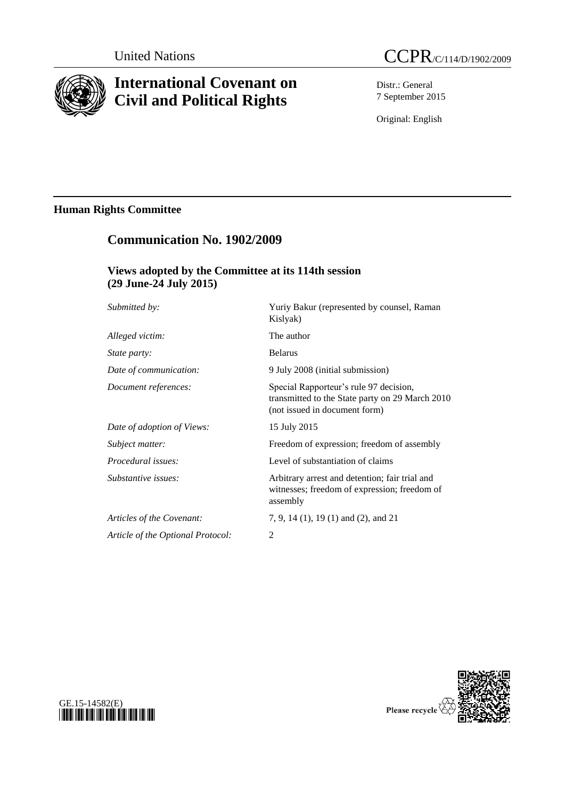

# **International Covenant on Civil and Political Rights**

Distr.: General 7 September 2015

Original: English

## **Human Rights Committee**

## **Communication No. 1902/2009**

## **Views adopted by the Committee at its 114th session (29 June-24 July 2015)**

| Submitted by:                     | Yuriy Bakur (represented by counsel, Raman<br>Kislyak)                                                                     |
|-----------------------------------|----------------------------------------------------------------------------------------------------------------------------|
| Alleged victim:                   | The author                                                                                                                 |
| <i>State party:</i>               | <b>Belarus</b>                                                                                                             |
| Date of communication:            | 9 July 2008 (initial submission)                                                                                           |
| Document references:              | Special Rapporteur's rule 97 decision,<br>transmitted to the State party on 29 March 2010<br>(not issued in document form) |
| Date of adoption of Views:        | 15 July 2015                                                                                                               |
| Subject matter:                   | Freedom of expression; freedom of assembly                                                                                 |
| Procedural issues:                | Level of substantiation of claims                                                                                          |
| Substantive issues:               | Arbitrary arrest and detention; fair trial and<br>witnesses; freedom of expression; freedom of<br>assembly                 |
| Articles of the Covenant:         | 7, 9, 14 (1), 19 (1) and (2), and 21                                                                                       |
| Article of the Optional Protocol: | 2                                                                                                                          |
|                                   |                                                                                                                            |



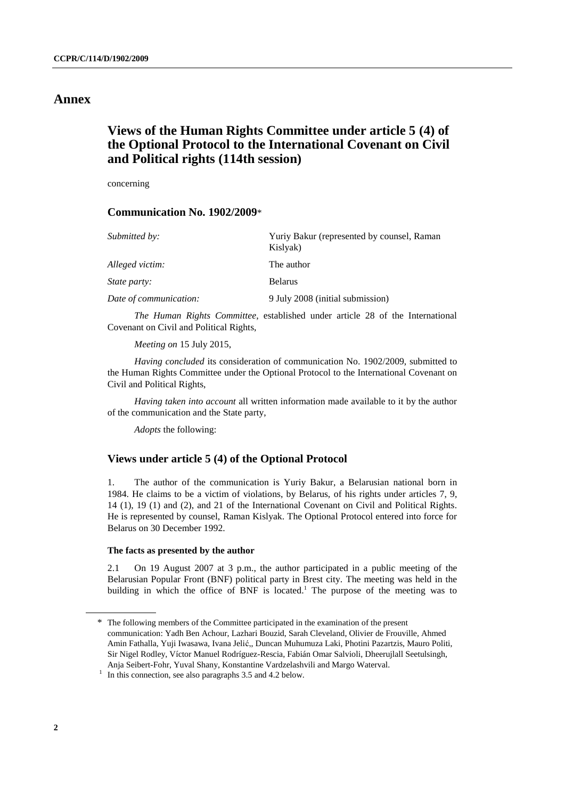### **Annex**

## **Views of the Human Rights Committee under article 5 (4) of the Optional Protocol to the International Covenant on Civil and Political rights (114th session)**

concerning

#### **Communication No. 1902/2009**\*

| Submitted by:          | Yuriy Bakur (represented by counsel, Raman<br>Kislyak) |
|------------------------|--------------------------------------------------------|
| Alleged victim:        | The author                                             |
| <i>State party:</i>    | <b>Belarus</b>                                         |
| Date of communication: | 9 July 2008 (initial submission)                       |

*The Human Rights Committee*, established under article 28 of the International Covenant on Civil and Political Rights,

*Meeting on* 15 July 2015,

*Having concluded* its consideration of communication No. 1902/2009, submitted to the Human Rights Committee under the Optional Protocol to the International Covenant on Civil and Political Rights,

*Having taken into account* all written information made available to it by the author of the communication and the State party,

*Adopts* the following:

#### **Views under article 5 (4) of the Optional Protocol**

1. The author of the communication is Yuriy Bakur, a Belarusian national born in 1984. He claims to be a victim of violations, by Belarus, of his rights under articles 7, 9, 14 (1), 19 (1) and (2), and 21 of the International Covenant on Civil and Political Rights. He is represented by counsel, Raman Kislyak. The Optional Protocol entered into force for Belarus on 30 December 1992.

#### **The facts as presented by the author**

2.1 On 19 August 2007 at 3 p.m., the author participated in a public meeting of the Belarusian Popular Front (BNF) political party in Brest city. The meeting was held in the building in which the office of BNF is located.<sup>1</sup> The purpose of the meeting was to

<sup>\*</sup> The following members of the Committee participated in the examination of the present communication: Yadh Ben Achour, Lazhari Bouzid, Sarah Cleveland, Olivier de Frouville, Ahmed Amin Fathalla, Yuji Iwasawa, Ivana Jelić,, Duncan Muhumuza Laki, Photini Pazartzis, Mauro Politi, Sir Nigel Rodley, Víctor Manuel Rodríguez-Rescia, Fabián Omar Salvioli, Dheerujlall Seetulsingh, Anja Seibert-Fohr, Yuval Shany, Konstantine Vardzelashvili and Margo Waterval.

<sup>&</sup>lt;sup>1</sup> In this connection, see also paragraphs 3.5 and 4.2 below.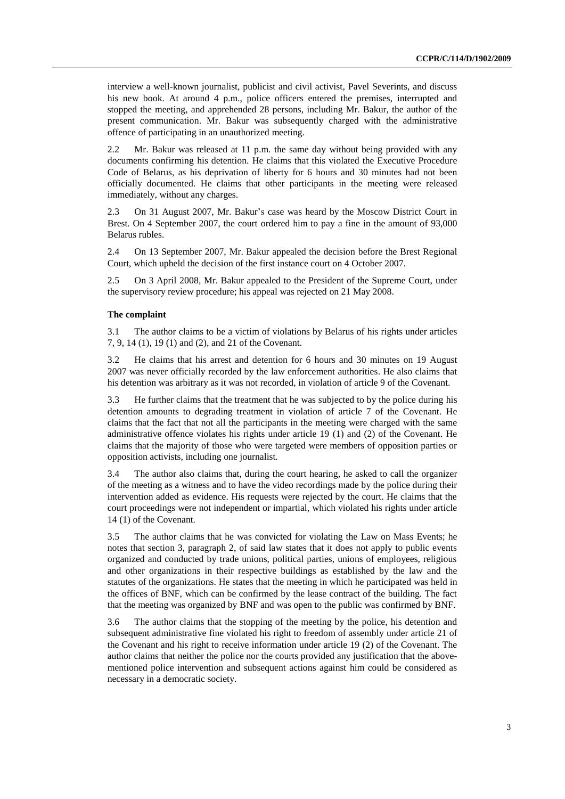interview a well-known journalist, publicist and civil activist, Pavel Severints, and discuss his new book. At around 4 p.m., police officers entered the premises, interrupted and stopped the meeting, and apprehended 28 persons, including Mr. Bakur, the author of the present communication. Mr. Bakur was subsequently charged with the administrative offence of participating in an unauthorized meeting.

2.2 Mr. Bakur was released at 11 p.m. the same day without being provided with any documents confirming his detention. He claims that this violated the Executive Procedure Code of Belarus, as his deprivation of liberty for 6 hours and 30 minutes had not been officially documented. He claims that other participants in the meeting were released immediately, without any charges.

2.3 On 31 August 2007, Mr. Bakur's case was heard by the Moscow District Court in Brest. On 4 September 2007, the court ordered him to pay a fine in the amount of 93,000 Belarus rubles.

2.4 On 13 September 2007, Mr. Bakur appealed the decision before the Brest Regional Court, which upheld the decision of the first instance court on 4 October 2007.

2.5 On 3 April 2008, Mr. Bakur appealed to the President of the Supreme Court, under the supervisory review procedure; his appeal was rejected on 21 May 2008.

#### **The complaint**

3.1 The author claims to be a victim of violations by Belarus of his rights under articles 7, 9, 14 (1), 19 (1) and (2), and 21 of the Covenant.

3.2 He claims that his arrest and detention for 6 hours and 30 minutes on 19 August 2007 was never officially recorded by the law enforcement authorities. He also claims that his detention was arbitrary as it was not recorded, in violation of article 9 of the Covenant.

3.3 He further claims that the treatment that he was subjected to by the police during his detention amounts to degrading treatment in violation of article 7 of the Covenant. He claims that the fact that not all the participants in the meeting were charged with the same administrative offence violates his rights under article 19 (1) and (2) of the Covenant. He claims that the majority of those who were targeted were members of opposition parties or opposition activists, including one journalist.

3.4 The author also claims that, during the court hearing, he asked to call the organizer of the meeting as a witness and to have the video recordings made by the police during their intervention added as evidence. His requests were rejected by the court. He claims that the court proceedings were not independent or impartial, which violated his rights under article 14 (1) of the Covenant.

3.5 The author claims that he was convicted for violating the Law on Mass Events; he notes that section 3, paragraph 2, of said law states that it does not apply to public events organized and conducted by trade unions, political parties, unions of employees, religious and other organizations in their respective buildings as established by the law and the statutes of the organizations. He states that the meeting in which he participated was held in the offices of BNF, which can be confirmed by the lease contract of the building. The fact that the meeting was organized by BNF and was open to the public was confirmed by BNF.

3.6 The author claims that the stopping of the meeting by the police, his detention and subsequent administrative fine violated his right to freedom of assembly under article 21 of the Covenant and his right to receive information under article 19 (2) of the Covenant. The author claims that neither the police nor the courts provided any justification that the abovementioned police intervention and subsequent actions against him could be considered as necessary in a democratic society.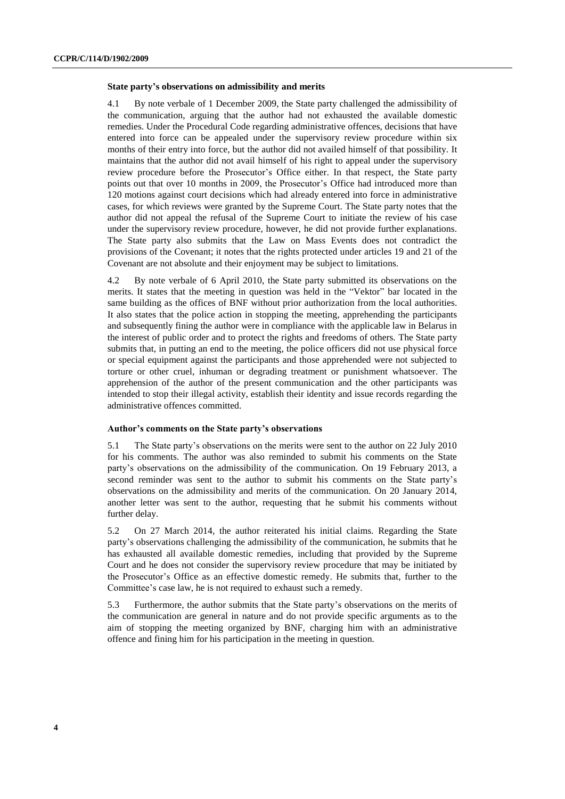#### **State party's observations on admissibility and merits**

4.1 By note verbale of 1 December 2009, the State party challenged the admissibility of the communication, arguing that the author had not exhausted the available domestic remedies. Under the Procedural Code regarding administrative offences, decisions that have entered into force can be appealed under the supervisory review procedure within six months of their entry into force, but the author did not availed himself of that possibility. It maintains that the author did not avail himself of his right to appeal under the supervisory review procedure before the Prosecutor's Office either. In that respect, the State party points out that over 10 months in 2009, the Prosecutor's Office had introduced more than 120 motions against court decisions which had already entered into force in administrative cases, for which reviews were granted by the Supreme Court. The State party notes that the author did not appeal the refusal of the Supreme Court to initiate the review of his case under the supervisory review procedure, however, he did not provide further explanations. The State party also submits that the Law on Mass Events does not contradict the provisions of the Covenant; it notes that the rights protected under articles 19 and 21 of the Covenant are not absolute and their enjoyment may be subject to limitations.

4.2 By note verbale of 6 April 2010, the State party submitted its observations on the merits. It states that the meeting in question was held in the "Vektor" bar located in the same building as the offices of BNF without prior authorization from the local authorities. It also states that the police action in stopping the meeting, apprehending the participants and subsequently fining the author were in compliance with the applicable law in Belarus in the interest of public order and to protect the rights and freedoms of others. The State party submits that, in putting an end to the meeting, the police officers did not use physical force or special equipment against the participants and those apprehended were not subjected to torture or other cruel, inhuman or degrading treatment or punishment whatsoever. The apprehension of the author of the present communication and the other participants was intended to stop their illegal activity, establish their identity and issue records regarding the administrative offences committed.

#### **Author's comments on the State party's observations**

5.1 The State party's observations on the merits were sent to the author on 22 July 2010 for his comments. The author was also reminded to submit his comments on the State party's observations on the admissibility of the communication. On 19 February 2013, a second reminder was sent to the author to submit his comments on the State party's observations on the admissibility and merits of the communication. On 20 January 2014, another letter was sent to the author, requesting that he submit his comments without further delay.

5.2 On 27 March 2014, the author reiterated his initial claims. Regarding the State party's observations challenging the admissibility of the communication, he submits that he has exhausted all available domestic remedies, including that provided by the Supreme Court and he does not consider the supervisory review procedure that may be initiated by the Prosecutor's Office as an effective domestic remedy. He submits that, further to the Committee's case law, he is not required to exhaust such a remedy.

5.3 Furthermore, the author submits that the State party's observations on the merits of the communication are general in nature and do not provide specific arguments as to the aim of stopping the meeting organized by BNF, charging him with an administrative offence and fining him for his participation in the meeting in question.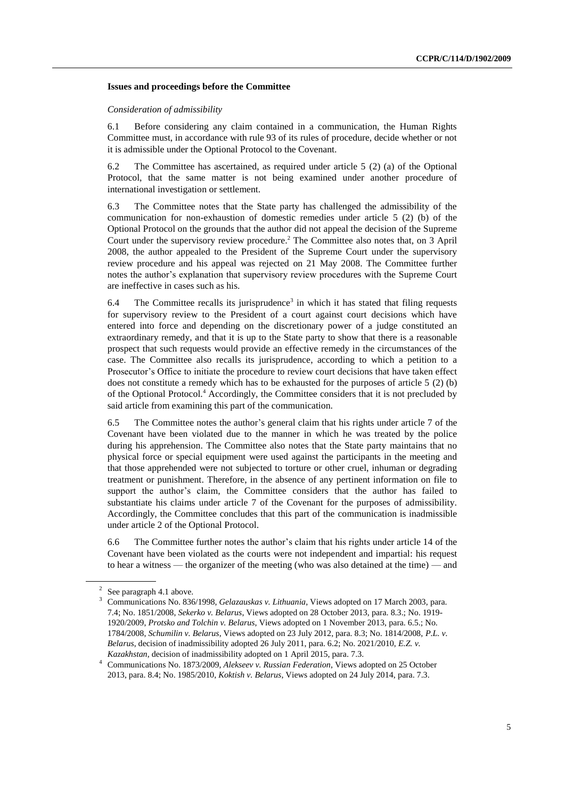#### **Issues and proceedings before the Committee**

#### *Consideration of admissibility*

6.1 Before considering any claim contained in a communication, the Human Rights Committee must, in accordance with rule 93 of its rules of procedure, decide whether or not it is admissible under the Optional Protocol to the Covenant.

6.2 The Committee has ascertained, as required under article 5 (2) (a) of the Optional Protocol, that the same matter is not being examined under another procedure of international investigation or settlement.

6.3 The Committee notes that the State party has challenged the admissibility of the communication for non-exhaustion of domestic remedies under article 5 (2) (b) of the Optional Protocol on the grounds that the author did not appeal the decision of the Supreme Court under the supervisory review procedure. <sup>2</sup> The Committee also notes that, on 3 April 2008, the author appealed to the President of the Supreme Court under the supervisory review procedure and his appeal was rejected on 21 May 2008. The Committee further notes the author's explanation that supervisory review procedures with the Supreme Court are ineffective in cases such as his.

6.4 The Committee recalls its jurisprudence<sup>3</sup> in which it has stated that filing requests for supervisory review to the President of a court against court decisions which have entered into force and depending on the discretionary power of a judge constituted an extraordinary remedy, and that it is up to the State party to show that there is a reasonable prospect that such requests would provide an effective remedy in the circumstances of the case. The Committee also recalls its jurisprudence, according to which a petition to a Prosecutor's Office to initiate the procedure to review court decisions that have taken effect does not constitute a remedy which has to be exhausted for the purposes of article 5 (2) (b) of the Optional Protocol.<sup>4</sup> Accordingly, the Committee considers that it is not precluded by said article from examining this part of the communication.

6.5 The Committee notes the author's general claim that his rights under article 7 of the Covenant have been violated due to the manner in which he was treated by the police during his apprehension. The Committee also notes that the State party maintains that no physical force or special equipment were used against the participants in the meeting and that those apprehended were not subjected to torture or other cruel, inhuman or degrading treatment or punishment. Therefore, in the absence of any pertinent information on file to support the author's claim, the Committee considers that the author has failed to substantiate his claims under article 7 of the Covenant for the purposes of admissibility. Accordingly, the Committee concludes that this part of the communication is inadmissible under article 2 of the Optional Protocol.

6.6 The Committee further notes the author's claim that his rights under article 14 of the Covenant have been violated as the courts were not independent and impartial: his request to hear a witness — the organizer of the meeting (who was also detained at the time) — and

<sup>4</sup> Communications No. 1873/2009, *Alekseev v. Russian Federation*, Views adopted on 25 October 2013, para. 8.4; No. 1985/2010, *Koktish v. Belarus*, Views adopted on 24 July 2014, para. 7.3.

<sup>2</sup> See paragraph 4.1 above.

<sup>3</sup> Communications No. 836/1998, *Gelazauskas v. Lithuania*, Views adopted on 17 March 2003, para. 7.4; No. 1851/2008, *Sekerko v. Belarus*, Views adopted on 28 October 2013, para. 8.3.; No. 1919- 1920/2009, *Protsko and Tolchin v. Belarus*, Views adopted on 1 November 2013, para. 6.5.; No. 1784/2008, *Schumilin v. Belarus*, Views adopted on 23 July 2012, para. 8.3; No. 1814/2008, *P.L. v. Belarus*, decision of inadmissibility adopted 26 July 2011, para. 6.2; No. 2021/2010, *E.Z. v. Kazakhstan*, decision of inadmissibility adopted on 1 April 2015, para. 7.3.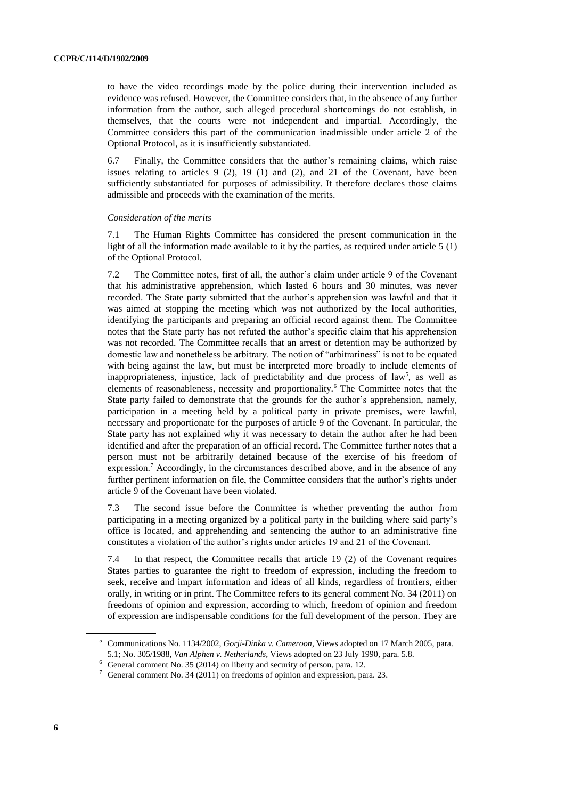to have the video recordings made by the police during their intervention included as evidence was refused. However, the Committee considers that, in the absence of any further information from the author, such alleged procedural shortcomings do not establish, in themselves, that the courts were not independent and impartial. Accordingly, the Committee considers this part of the communication inadmissible under article 2 of the Optional Protocol, as it is insufficiently substantiated.

6.7 Finally, the Committee considers that the author's remaining claims, which raise issues relating to articles  $9(2)$ ,  $19(1)$  and  $(2)$ , and  $21$  of the Covenant, have been sufficiently substantiated for purposes of admissibility. It therefore declares those claims admissible and proceeds with the examination of the merits.

#### *Consideration of the merits*

7.1 The Human Rights Committee has considered the present communication in the light of all the information made available to it by the parties, as required under article 5 (1) of the Optional Protocol.

7.2 The Committee notes, first of all, the author's claim under article 9 of the Covenant that his administrative apprehension, which lasted 6 hours and 30 minutes, was never recorded. The State party submitted that the author's apprehension was lawful and that it was aimed at stopping the meeting which was not authorized by the local authorities, identifying the participants and preparing an official record against them. The Committee notes that the State party has not refuted the author's specific claim that his apprehension was not recorded. The Committee recalls that an arrest or detention may be authorized by domestic law and nonetheless be arbitrary. The notion of "arbitrariness" is not to be equated with being against the law, but must be interpreted more broadly to include elements of inappropriateness, injustice, lack of predictability and due process of law<sup>5</sup>, as well as elements of reasonableness, necessity and proportionality.<sup>6</sup> The Committee notes that the State party failed to demonstrate that the grounds for the author's apprehension, namely, participation in a meeting held by a political party in private premises, were lawful, necessary and proportionate for the purposes of article 9 of the Covenant. In particular, the State party has not explained why it was necessary to detain the author after he had been identified and after the preparation of an official record. The Committee further notes that a person must not be arbitrarily detained because of the exercise of his freedom of expression.<sup>7</sup> Accordingly, in the circumstances described above, and in the absence of any further pertinent information on file, the Committee considers that the author's rights under article 9 of the Covenant have been violated.

7.3 The second issue before the Committee is whether preventing the author from participating in a meeting organized by a political party in the building where said party's office is located, and apprehending and sentencing the author to an administrative fine constitutes a violation of the author's rights under articles 19 and 21 of the Covenant.

7.4 In that respect, the Committee recalls that article 19 (2) of the Covenant requires States parties to guarantee the right to freedom of expression, including the freedom to seek, receive and impart information and ideas of all kinds, regardless of frontiers, either orally, in writing or in print. The Committee refers to its general comment No. 34 (2011) on freedoms of opinion and expression, according to which, freedom of opinion and freedom of expression are indispensable conditions for the full development of the person. They are

<sup>5</sup> Communications No. 1134/2002, *Gorji-Dinka v. Cameroon*, Views adopted on 17 March 2005, para. 5.1; No. 305/1988, *Van Alphen v. Netherlands*, Views adopted on 23 July 1990, para. 5.8.

<sup>6</sup> General comment No. 35 (2014) on liberty and security of person, para. 12.

 $7$  General comment No. 34 (2011) on freedoms of opinion and expression, para. 23.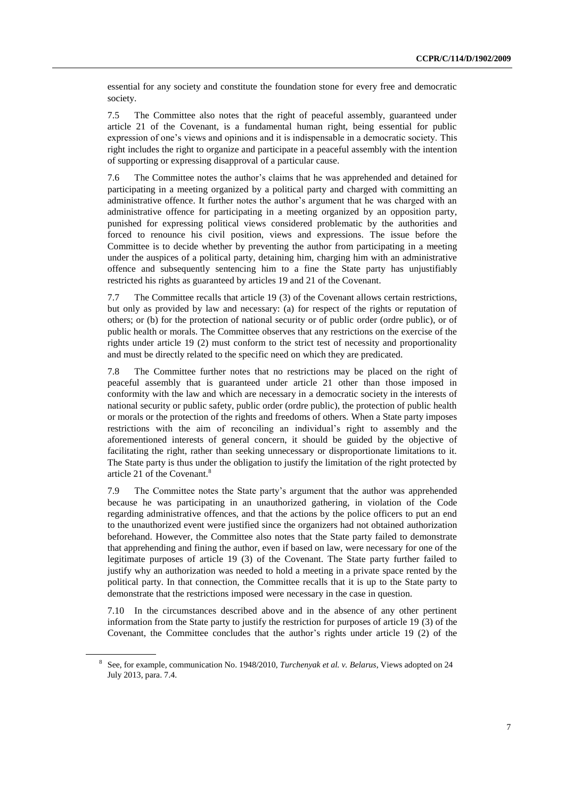essential for any society and constitute the foundation stone for every free and democratic society.

7.5 The Committee also notes that the right of peaceful assembly, guaranteed under article 21 of the Covenant, is a fundamental human right, being essential for public expression of one's views and opinions and it is indispensable in a democratic society. This right includes the right to organize and participate in a peaceful assembly with the intention of supporting or expressing disapproval of a particular cause.

7.6 The Committee notes the author's claims that he was apprehended and detained for participating in a meeting organized by a political party and charged with committing an administrative offence. It further notes the author's argument that he was charged with an administrative offence for participating in a meeting organized by an opposition party, punished for expressing political views considered problematic by the authorities and forced to renounce his civil position, views and expressions. The issue before the Committee is to decide whether by preventing the author from participating in a meeting under the auspices of a political party, detaining him, charging him with an administrative offence and subsequently sentencing him to a fine the State party has unjustifiably restricted his rights as guaranteed by articles 19 and 21 of the Covenant.

7.7 The Committee recalls that article 19 (3) of the Covenant allows certain restrictions, but only as provided by law and necessary: (a) for respect of the rights or reputation of others; or (b) for the protection of national security or of public order (ordre public), or of public health or morals. The Committee observes that any restrictions on the exercise of the rights under article 19 (2) must conform to the strict test of necessity and proportionality and must be directly related to the specific need on which they are predicated.

7.8 The Committee further notes that no restrictions may be placed on the right of peaceful assembly that is guaranteed under article 21 other than those imposed in conformity with the law and which are necessary in a democratic society in the interests of national security or public safety, public order (ordre public), the protection of public health or morals or the protection of the rights and freedoms of others. When a State party imposes restrictions with the aim of reconciling an individual's right to assembly and the aforementioned interests of general concern, it should be guided by the objective of facilitating the right, rather than seeking unnecessary or disproportionate limitations to it. The State party is thus under the obligation to justify the limitation of the right protected by article 21 of the Covenant.<sup>8</sup>

7.9 The Committee notes the State party's argument that the author was apprehended because he was participating in an unauthorized gathering, in violation of the Code regarding administrative offences, and that the actions by the police officers to put an end to the unauthorized event were justified since the organizers had not obtained authorization beforehand. However, the Committee also notes that the State party failed to demonstrate that apprehending and fining the author, even if based on law, were necessary for one of the legitimate purposes of article 19 (3) of the Covenant. The State party further failed to justify why an authorization was needed to hold a meeting in a private space rented by the political party. In that connection, the Committee recalls that it is up to the State party to demonstrate that the restrictions imposed were necessary in the case in question.

7.10 In the circumstances described above and in the absence of any other pertinent information from the State party to justify the restriction for purposes of article 19 (3) of the Covenant, the Committee concludes that the author's rights under article 19 (2) of the

<sup>8</sup> See, for example, communication No. 1948/2010, *Turchenyak et al. v. Belarus*, Views adopted on 24 July 2013, para. 7.4.